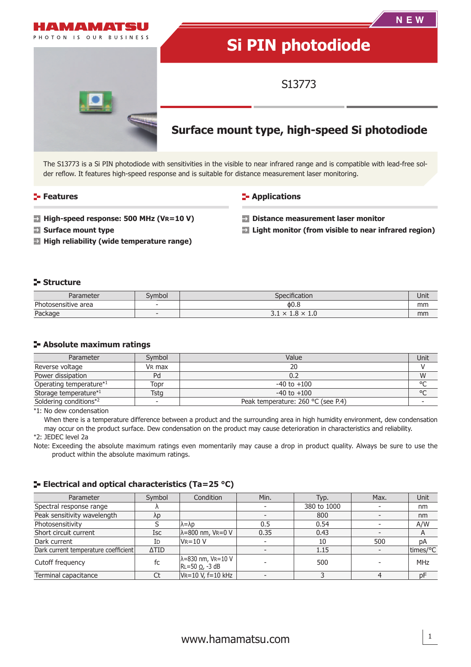

The S13773 is a Si PIN photodiode with sensitivities in the visible to near infrared range and is compatible with lead-free solder reflow. It features high-speed response and is suitable for distance measurement laser monitoring.

#### **Features**

#### **Applications**

- **High-speed response: 500 MHz (VR=10 V)**
- **Surface mount type**
- **High reliability (wide temperature range)**
- **Distance measurement laser monitor**
- **Light monitor (from visible to near infrared region)**

#### **Structure**

| Parameter           | Svmbol                   | $\sim$ $\sim$<br>Specification                                         |    |
|---------------------|--------------------------|------------------------------------------------------------------------|----|
| Photosensitive area | $\overline{\phantom{a}}$ | ዕ0.8                                                                   | mm |
| Package             |                          | o<br>$\checkmark$<br><b>L.O</b><br>$\sim$<br><b>1.U</b><br>$\sim$<br>ـ | mm |

#### **Absolute maximum ratings**

| Parameter               | Symbol             | Value                              | Unit    |
|-------------------------|--------------------|------------------------------------|---------|
| Reverse voltage         | V <sub>R</sub> max | 20                                 |         |
| Power dissipation<br>Pd |                    | 0.2                                | W       |
| Operating temperature*1 | Topr               | $-40$ to $+100$                    | $\circ$ |
| Storage temperature*1   | <b>Tstg</b>        | $-40$ to $+100$                    | $\circ$ |
| Soldering conditions*2  |                    | Peak temperature: 260 °C (see P.4) |         |

\*1: No dew condensation

When there is a temperature difference between a product and the surrounding area in high humidity environment, dew condensation may occur on the product surface. Dew condensation on the product may cause deterioration in characteristics and reliability.

\*2: JEDEC level 2a

Note: Exceeding the absolute maximum ratings even momentarily may cause a drop in product quality. Always be sure to use the product within the absolute maximum ratings.

#### **ELECTRICAL AND OPTICAL CHARACTERISTICS (Ta=25 °C)**

| Parameter                            | Symbol      | Condition                                            | Min. | Typ.        | Max. | Unit         |
|--------------------------------------|-------------|------------------------------------------------------|------|-------------|------|--------------|
| Spectral response range              |             |                                                      |      | 380 to 1000 |      | nm           |
| Peak sensitivity wavelength          | λp          |                                                      |      | 800         |      | nm           |
| Photosensitivity                     |             | lλ=λp                                                | 0.5  | 0.54        |      | A/W          |
| Short circuit current                | <b>Isc</b>  | $\lambda = 800$ nm, VR=0 V                           | 0.35 | 0.43        |      | $\mathsf{A}$ |
| Dark current                         | ID          | $V = 10 V$                                           |      | 10          | 500  | рA           |
| Dark current temperature coefficient | <b>ATID</b> |                                                      |      | 1.15        |      | times/°C     |
| Cutoff frequency                     | fc          | $\lambda$ =830 nm, VR=10 V<br>$RL=50 \Omega$ , -3 dB |      | 500         |      | MHz          |
| Terminal capacitance                 |             | $V = 10 V$ , $f = 10 kHz$                            |      |             |      | рF           |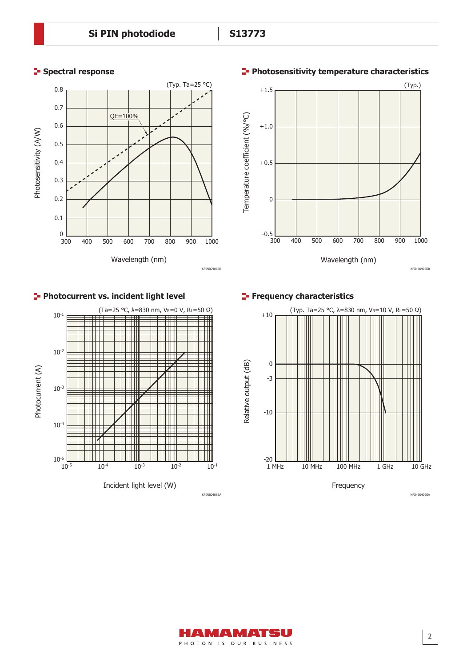



# **Photosensitivity temperature characteristics**



# **Photocurrent vs. incident light level**



# **Frequency characteristics**



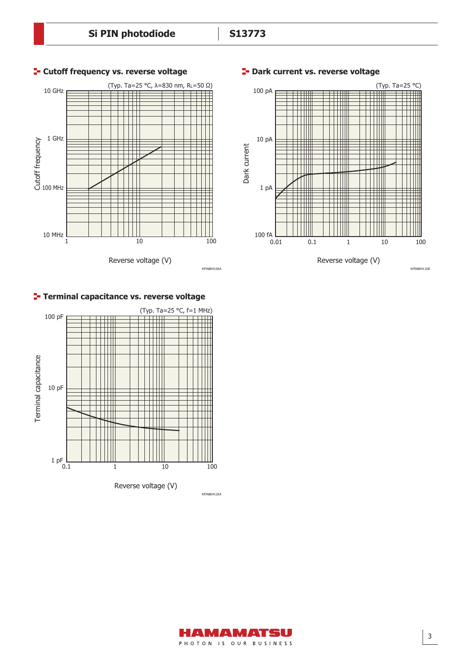

#### **Cutoff frequency vs. reverse voltage**





# **Terminal capacitance vs. reverse voltage**



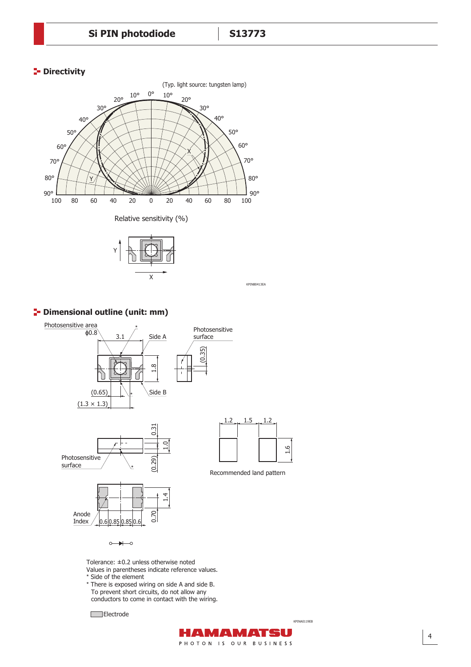# **P** Directivity





KPINB0413EA

#### **P** Dimensional outline (unit: mm)



 $\circ$   $\rightarrow$ 

Tolerance: ±0.2 unless otherwise noted Values in parentheses indicate reference values.

- \* Side of the element
- \* There is exposed wiring on side A and side B. To prevent short circuits, do not allow any conductors to come in contact with the wiring.

Electrode

KPINA0119EB

AMAMATSU PHOTON IS OUR BUSINESS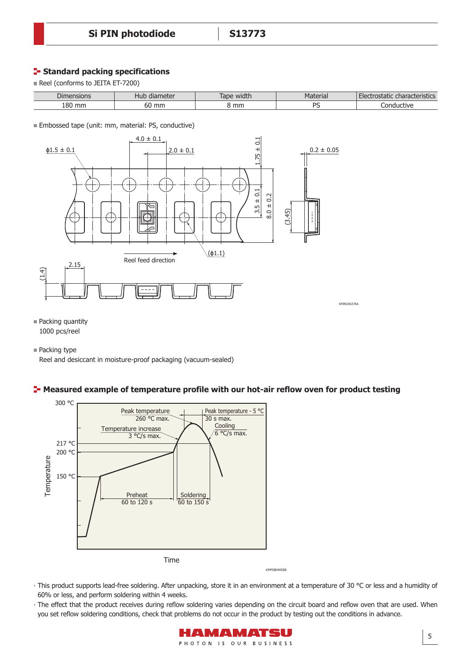# **Standard packing specifications**

Reel (conforms to JEITA ET-7200)

| $\sim$<br>nsions<br>Dime: | $\frac{1}{2}$<br>. .<br>qiameter<br>⊓uש | width<br>⊾חבי<br>iauc | $-2$<br>tel ldi.<br>'ιαιτ      | $\sim$ $\sim$<br>$\blacksquare$<br><i><b>Jstatic</b></i><br><b>'ristics</b><br>i idi d |
|---------------------------|-----------------------------------------|-----------------------|--------------------------------|----------------------------------------------------------------------------------------|
| .on<br>mm<br>⊥O∪          | 60 mm                                   | mm                    | DC<br>$\overline{\phantom{0}}$ | . ond<br>ctive<br>าเ เด                                                                |

**Embossed tape (unit: mm, material: PS, conductive)** 



■ Packing quantity 1000 pcs/reel

■ Packing type

Reel and desiccant in moisture-proof packaging (vacuum-sealed)

#### **-** Measured example of temperature profile with our hot-air reflow oven for product testing



∙ This product supports lead-free soldering. After unpacking, store it in an environment at a temperature of 30 °C or less and a humidity of 60% or less, and perform soldering within 4 weeks.

• The effect that the product receives during reflow soldering varies depending on the circuit board and reflow oven that are used. When you set reflow soldering conditions, check that problems do not occur in the product by testing out the conditions in advance.